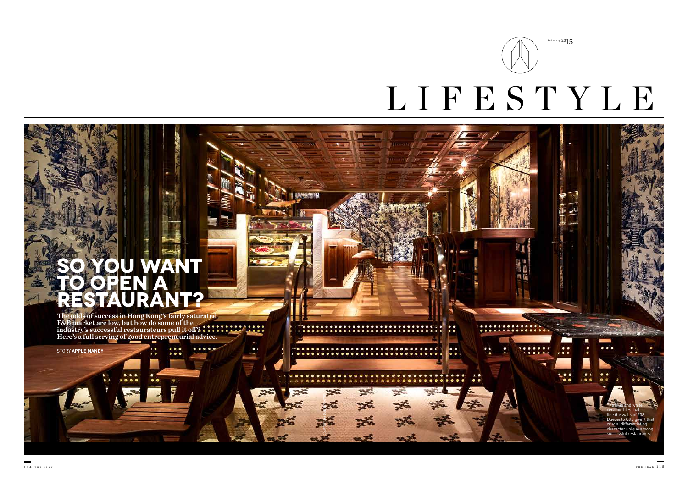$\lambda$  of

 $. . . .$ 

 $\bullet\bullet\bullet\bullet\bullet$ 

25



 $F$ ebruary 20 $15$ 

# **SO YOU WANT TO OPEN A RESTAURANT?**

The odds of success in Hong Kong's fairly saturated F&B market are low, but how do some of the industry's successful restaurateurs pull it off? Here's a full serving of good entrepreneurial advice.

 $0.0.0$ 

 $0.0.0$ 

STORY **APPLE MANDY** 

COURTESY **208 DUECENTO OTTO** 

26

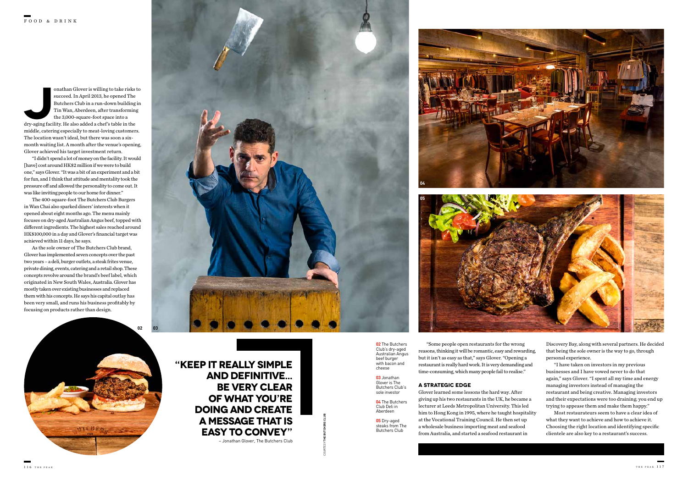"Some people open restaurants for the wrong reasons, thinking it will be romantic, easy and rewarding, but it isn't as easy as that," says Glover. "Opening a restaurant is really hard work. It is very demanding and time-consuming, which many people fail to realise."

### **A STRATEGIC EDGE**

Glover learned some lessons the hard way. After giving up his two restaurants in the UK, he became a lecturer at Leeds Metropolitan University. This led him to Hong Kong in 1995, where he taught hospitality at the Vocational Training Council. He then set up a wholesale business importing meat and seafood from Australia, and started a seafood restaurant in

onathan Glover is willing to take risks to succeed. In April 2013, he opened The Butchers Club in a run-down building in Tin Wan, Aberdeen, after transforming the 3,000-square-foot space into a dry-aging facility. He also succeed. In April 2013, he opened The Butchers Club in a run-down building in Tin Wan, Aberdeen, after transforming the 3,000-square-foot space into a middle, catering especially to meat-loving customers. The location wasn't ideal, but there was soon a sixmonth waiting list. A month after the venue's opening, Glover achieved his target investment return.

"I didn't spend a lot of money on the facility. It would [have] cost around HK\$2 million if we were to build one," says Glover. "It was a bit of an experiment and a bit for fun, and I think that attitude and mentality took the pressure off and allowed the personality to come out. It was like inviting people to our home for dinner."

The 400-square-foot The Butchers Club Burgers in Wan Chai also sparked diners' interests when it opened about eight months ago. The menu mainly focuses on dry-aged Australian Angus beef, topped with different ingredients. The highest sales reached around HK\$100,000 in a day and Glover's financial target was achieved within 11 days, he says. **01**

As the sole owner of The Butchers Club brand, Glover has implemented seven concepts over the past two years – a deli, burger outlets, a steak frites venue, private dining, events, catering and a retail shop. These concepts revolve around the brand's beef label, which originated in New South Wales, Australia. Glover has mostly taken over existing businesses and replaced them with his concepts. He says his capital outlay has been very small, and runs his business profitably by focusing on products rather than design.







**02 03**

**"KEEP IT REALLY SIMPLE AND DEFINITIVE... BE VERY CLEAR OF WHAT YOU'RE DOING AND CREATE A MESSAGE THAT IS EASY TO CONVEY"**

– Jonathan Glover, The Butchers Club

Discovery Bay, along with several partners. He decided that being the sole owner is the way to go, through personal experience.

"I have taken on investors in my previous businesses and I have vowed never to do that again," says Glover. "I spent all my time and energy managing investors instead of managing the restaurant and being creative. Managing investors and their expectations were too draining; you end up trying to appease them and make them happy."

Most restaurateurs seem to have a clear idea of what they want to achieve and how to achieve it. Choosing the right location and identifying specific clientele are also key to a restaurant's success.

**02** The Butchers Club's dry-aged Australian Angus beef burger with bacon and cheese

> **03** Jonathan Glover is The Butchers Club's sole investor

**04** The Butchers Club Deli in Aberdeen

**05** Dry-aged steaks from The Butchers Club

COURTESY **THE BUTCHERS CLUB**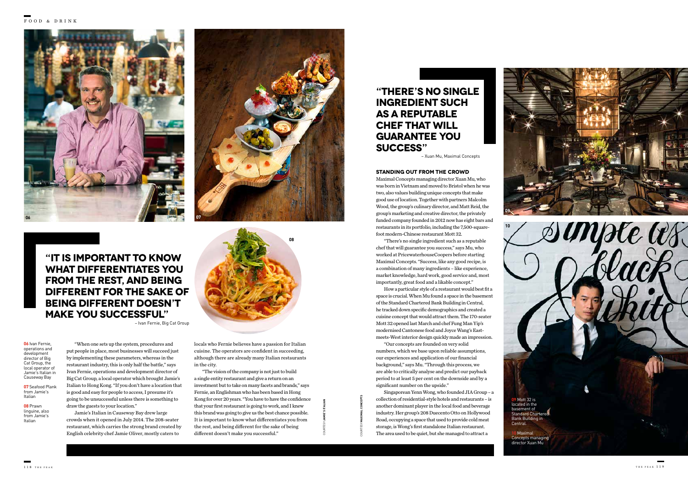#### **STANDING OUT FROM THE CROWD**

Maximal Concepts managing director Xuan Mu, who was born in Vietnam and moved to Bristol when he was two, also values building unique concepts that make good use of location. Together with partners Malcolm Wood, the group's culinary director, and Matt Reid, the group's marketing and creative director, the privately funded company founded in 2012 now has eight bars and restaurants in its portfolio, including the 7,500-squarefoot modern-Chinese restaurant Mott 32.

"There's no single ingredient such as a reputable chef that will guarantee you success," says Mu, who worked at PricewaterhouseCoopers before starting Maximal Concepts. "Success, like any good recipe, is a combination of many ingredients – like experience, market knowledge, hard work, good service and, most importantly, great food and a likable concept."

How a particular style of a restaurant would best fit a space is crucial. When Mu found a space in the basement of the Standard Chartered Bank Building in Central, he tracked down specific demographics and created a cuisine concept that would attract them. The 170-seater Mott 32 opened last March and chef Fung Man Yip's modernised Cantonese food and Joyce Wang's Eastmeets-West interior design quickly made an impression.

"Our concepts are founded on very solid numbers, which we base upon reliable assumptions, our experiences and application of our financial background," says Mu. "Through this process, we are able to critically analyse and predict our payback period to at least 5 per cent on the downside and by a significant number on the upside."

Singaporean Yenn Wong, who founded JIA Group – a collection of residential-style hotels and restaurants – is another dominant player in the local food and beverage industry. Her group's 208 Duecento Otto on Hollywood Road, occupying a space that used to provide cold meat storage, is Wong's first standalone Italian restaurant. The area used to be quiet, but she managed to attract a

"When one sets up the system, procedures and put people in place, most businesses will succeed just by implementing these parameters, whereas in the restaurant industry, this is only half the battle," says Ivan Fernie, operations and development director of Big Cat Group, a local operator which brought Jamie's Italian to Hong Kong. "If you don't have a location that is good and easy for people to access, I presume it's going to be unsuccessful unless there is something to draw the guests to your location."

Jamie's Italian in Causeway Bay drew large crowds when it opened in July 2014. The 208-seater restaurant, which carries the strong brand created by English celebrity chef Jamie Oliver, mostly caters to

**06** Ivan Fernie, operations and development director of Big Cat Group, the local operator of Jamie's Italian in Causeway Bay

**07** Seafood Plank from Jamie's Italian

**08** Prawn linguine, also from Jamie's Italian

**09** Mott 32 is located in the basement of Standard Chartered Bank Building in Central.

**10** Maximal Concepts managing director Xuan Mu

**Simple as** 



**09**





**10**

**"IT IS IMPORTANT TO KNOW WHAT DIFFERENTIATES YOU FROM THE REST, AND BEING DIFFERENT FOR THE SAKE OF BEING DIFFERENT DOESN'T MAKE YOU SUCCESSFUL"** – Ivan Fernie, Big Cat Group

## **"THERE'S NO SINGLE INGREDIENT SUCH AS A REPUTABLE CHEF THAT WILL GUARANTEE YOU SUCCESS"**

– Xuan Mu, Maximal Concepts

locals who Fernie believes have a passion for Italian cuisine. The operators are confident in succeeding, although there are already many Italian restaurants in the city.

"The vision of the company is not just to build a single entity restaurant and give a return on an investment but to take on many facets and brands," says Fernie, an Englishman who has been based in Hong Kong for over 20 years. "You have to have the confidence that your first restaurant is going to work, and I knew this brand was going to give us the best chance possible. It is important to know what differentiates you from the rest, and being different for the sake of being different doesn't make you successful."

COURTESY **MAXIMAL CONCEPTS**

COURTESY **JAMIE'S ITALIAN**